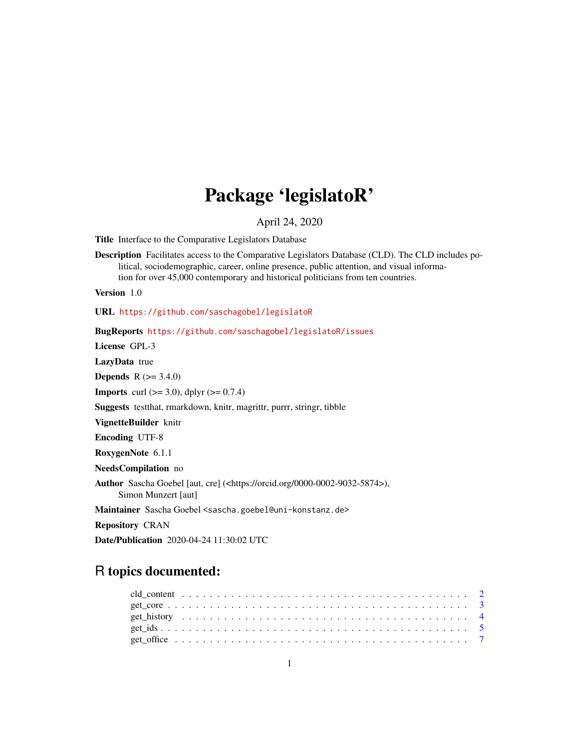## Package 'legislatoR'

April 24, 2020

Title Interface to the Comparative Legislators Database

Description Facilitates access to the Comparative Legislators Database (CLD). The CLD includes political, sociodemographic, career, online presence, public attention, and visual information for over 45,000 contemporary and historical politicians from ten countries.

Version 1.0

URL <https://github.com/saschagobel/legislatoR>

BugReports <https://github.com/saschagobel/legislatoR/issues>

License GPL-3

LazyData true

**Depends**  $R (= 3.4.0)$ 

**Imports** curl  $(>= 3.0)$ , dplyr  $(>= 0.7.4)$ 

Suggests testthat, rmarkdown, knitr, magrittr, purrr, stringr, tibble

VignetteBuilder knitr

Encoding UTF-8

RoxygenNote 6.1.1

NeedsCompilation no

Author Sascha Goebel [aut, cre] (<https://orcid.org/0000-0002-9032-5874>), Simon Munzert [aut]

Maintainer Sascha Goebel <sascha.goebel@uni-konstanz.de>

Repository CRAN

Date/Publication 2020-04-24 11:30:02 UTC

## R topics documented: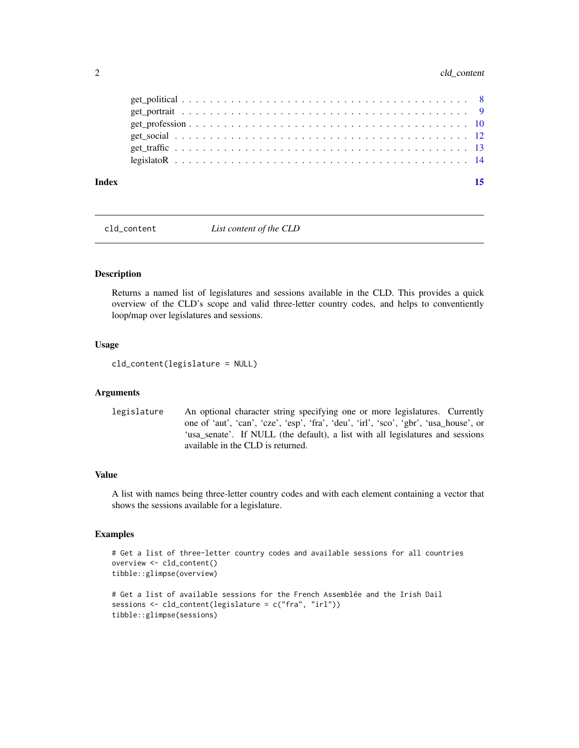## <span id="page-1-0"></span>2 cld\_content

### **Index** [15](#page-14-0)

<span id="page-1-1"></span>cld\_content *List content of the CLD*

### Description

Returns a named list of legislatures and sessions available in the CLD. This provides a quick overview of the CLD's scope and valid three-letter country codes, and helps to conventiently loop/map over legislatures and sessions.

#### Usage

cld\_content(legislature = NULL)

#### Arguments

```
legislature An optional character string specifying one or more legislatures. Currently
                   one of 'aut', 'can', 'cze', 'esp', 'fra', 'deu', 'irl', 'sco', 'gbr', 'usa_house', or
                   'usa_senate'. If NULL (the default), a list with all legislatures and sessions
                   available in the CLD is returned.
```
## Value

A list with names being three-letter country codes and with each element containing a vector that shows the sessions available for a legislature.

## Examples

```
# Get a list of three-letter country codes and available sessions for all countries
overview <- cld_content()
tibble::glimpse(overview)
# Get a list of available sessions for the French Assemblée and the Irish Dail
sessions <- cld_content(legislature = c("fra", "irl"))
tibble::glimpse(sessions)
```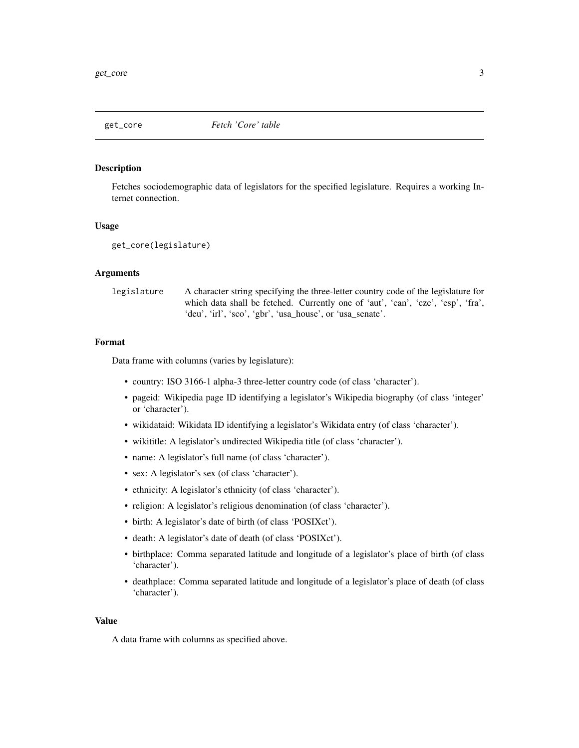<span id="page-2-1"></span><span id="page-2-0"></span>

#### **Description**

Fetches sociodemographic data of legislators for the specified legislature. Requires a working Internet connection.

#### Usage

get\_core(legislature)

#### **Arguments**

| legislature | A character string specifying the three-letter country code of the legislature for |
|-------------|------------------------------------------------------------------------------------|
|             | which data shall be fetched. Currently one of 'aut', 'can', 'cze', 'esp', 'fra',   |
|             | 'deu', 'irl', 'sco', 'gbr', 'usa_house', or 'usa_senate'.                          |

## Format

Data frame with columns (varies by legislature):

- country: ISO 3166-1 alpha-3 three-letter country code (of class 'character').
- pageid: Wikipedia page ID identifying a legislator's Wikipedia biography (of class 'integer' or 'character').
- wikidataid: Wikidata ID identifying a legislator's Wikidata entry (of class 'character').
- wikititle: A legislator's undirected Wikipedia title (of class 'character').
- name: A legislator's full name (of class 'character').
- sex: A legislator's sex (of class 'character').
- ethnicity: A legislator's ethnicity (of class 'character').
- religion: A legislator's religious denomination (of class 'character').
- birth: A legislator's date of birth (of class 'POSIXct').
- death: A legislator's date of death (of class 'POSIXct').
- birthplace: Comma separated latitude and longitude of a legislator's place of birth (of class 'character').
- deathplace: Comma separated latitude and longitude of a legislator's place of death (of class 'character').

#### Value

A data frame with columns as specified above.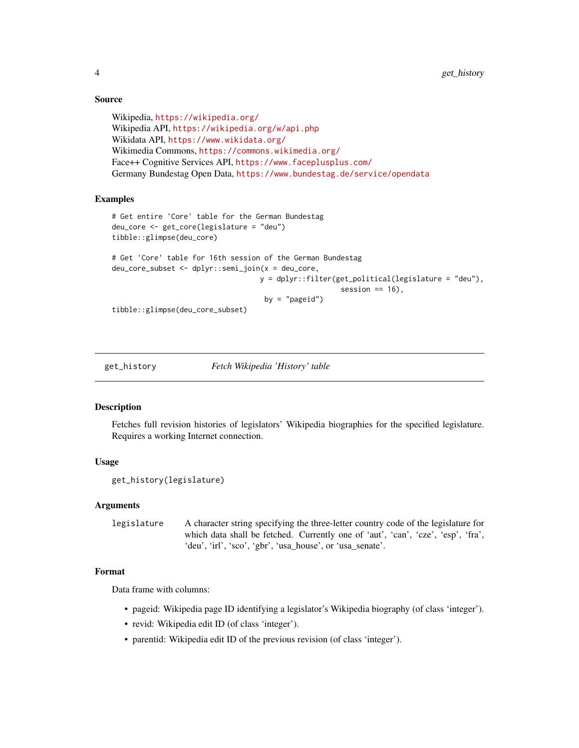## Source

```
Wikipedia, https://wikipedia.org/
Wikipedia API, https://wikipedia.org/w/api.php
Wikidata API, https://www.wikidata.org/
Wikimedia Commons, https://commons.wikimedia.org/
Face++ Cognitive Services API, https://www.faceplusplus.com/
Germany Bundestag Open Data, https://www.bundestag.de/service/opendata
```
#### Examples

```
# Get entire 'Core' table for the German Bundestag
deu_core <- get_core(legislature = "deu")
tibble::glimpse(deu_core)
# Get 'Core' table for 16th session of the German Bundestag
deu_core_subset <- dplyr::semi_join(x = deu_core,
                                   y = dplyr::filter(get_political(legislature = "deu"),
                                                      session == 16),
                                    by = "pageid")
```
tibble::glimpse(deu\_core\_subset)

<span id="page-3-1"></span>

get\_history *Fetch Wikipedia 'History' table*

#### Description

Fetches full revision histories of legislators' Wikipedia biographies for the specified legislature. Requires a working Internet connection.

## Usage

```
get_history(legislature)
```
#### Arguments

```
legislature A character string specifying the three-letter country code of the legislature for
                   which data shall be fetched. Currently one of 'aut', 'can', 'cze', 'esp', 'fra',
                   'deu', 'irl', 'sco', 'gbr', 'usa_house', or 'usa_senate'.
```
## Format

Data frame with columns:

- pageid: Wikipedia page ID identifying a legislator's Wikipedia biography (of class 'integer').
- revid: Wikipedia edit ID (of class 'integer').
- parentid: Wikipedia edit ID of the previous revision (of class 'integer').

<span id="page-3-0"></span>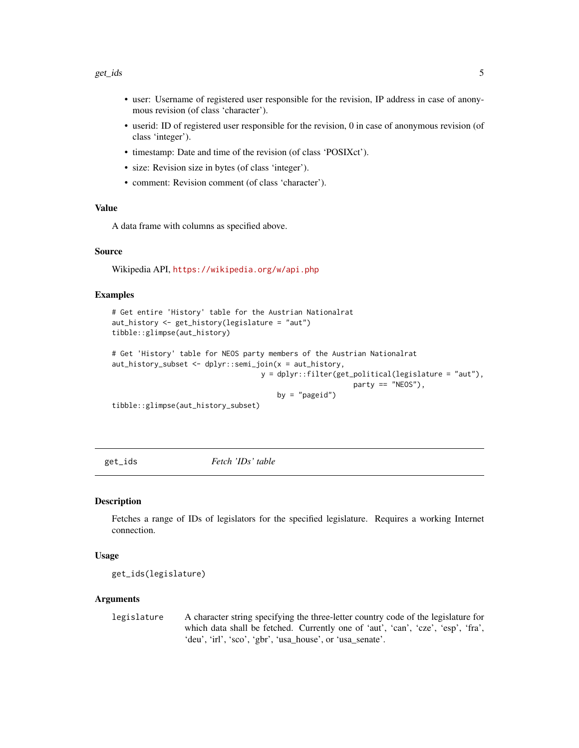- <span id="page-4-0"></span>• user: Username of registered user responsible for the revision, IP address in case of anonymous revision (of class 'character').
- userid: ID of registered user responsible for the revision, 0 in case of anonymous revision (of class 'integer').
- timestamp: Date and time of the revision (of class 'POSIXct').
- size: Revision size in bytes (of class 'integer').
- comment: Revision comment (of class 'character').

## Value

A data frame with columns as specified above.

#### Source

Wikipedia API, <https://wikipedia.org/w/api.php>

#### Examples

```
# Get entire 'History' table for the Austrian Nationalrat
aut_history <- get_history(legislature = "aut")
tibble::glimpse(aut_history)
```

```
# Get 'History' table for NEOS party members of the Austrian Nationalrat
aut_history_subset <- dplyr::semi_join(x = aut_history,
                                   y = dplyr::filter(get_political(legislature = "aut"),
                                                         party == "NEOS"),
```

```
by = "pageid")
```
tibble::glimpse(aut\_history\_subset)

<span id="page-4-1"></span>get\_ids *Fetch 'IDs' table*

#### Description

Fetches a range of IDs of legislators for the specified legislature. Requires a working Internet connection.

#### Usage

get\_ids(legislature)

#### Arguments

legislature A character string specifying the three-letter country code of the legislature for which data shall be fetched. Currently one of 'aut', 'can', 'cze', 'esp', 'fra', 'deu', 'irl', 'sco', 'gbr', 'usa\_house', or 'usa\_senate'.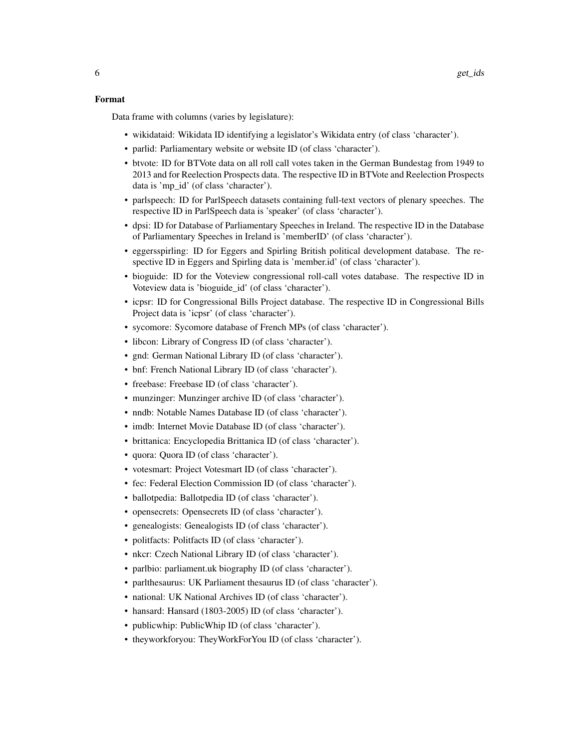#### Format

Data frame with columns (varies by legislature):

- wikidataid: Wikidata ID identifying a legislator's Wikidata entry (of class 'character').
- parlid: Parliamentary website or website ID (of class 'character').
- btvote: ID for BTVote data on all roll call votes taken in the German Bundestag from 1949 to 2013 and for Reelection Prospects data. The respective ID in BTVote and Reelection Prospects data is 'mp\_id' (of class 'character').
- parlspeech: ID for ParlSpeech datasets containing full-text vectors of plenary speeches. The respective ID in ParlSpeech data is 'speaker' (of class 'character').
- dpsi: ID for Database of Parliamentary Speeches in Ireland. The respective ID in the Database of Parliamentary Speeches in Ireland is 'memberID' (of class 'character').
- eggersspirling: ID for Eggers and Spirling British political development database. The respective ID in Eggers and Spirling data is 'member.id' (of class 'character').
- bioguide: ID for the Voteview congressional roll-call votes database. The respective ID in Voteview data is 'bioguide\_id' (of class 'character').
- icpsr: ID for Congressional Bills Project database. The respective ID in Congressional Bills Project data is 'icpsr' (of class 'character').
- sycomore: Sycomore database of French MPs (of class 'character').
- libcon: Library of Congress ID (of class 'character').
- gnd: German National Library ID (of class 'character').
- bnf: French National Library ID (of class 'character').
- freebase: Freebase ID (of class 'character').
- munzinger: Munzinger archive ID (of class 'character').
- nndb: Notable Names Database ID (of class 'character').
- imdb: Internet Movie Database ID (of class 'character').
- brittanica: Encyclopedia Brittanica ID (of class 'character').
- quora: Quora ID (of class 'character').
- votesmart: Project Votesmart ID (of class 'character').
- fec: Federal Election Commission ID (of class 'character').
- ballotpedia: Ballotpedia ID (of class 'character').
- opensecrets: Opensecrets ID (of class 'character').
- genealogists: Genealogists ID (of class 'character').
- politfacts: Politfacts ID (of class 'character').
- nkcr: Czech National Library ID (of class 'character').
- parlbio: parliament.uk biography ID (of class 'character').
- parlthesaurus: UK Parliament thesaurus ID (of class 'character').
- national: UK National Archives ID (of class 'character').
- hansard: Hansard (1803-2005) ID (of class 'character').
- publicwhip: PublicWhip ID (of class 'character').
- theyworkforyou: TheyWorkForYou ID (of class 'character').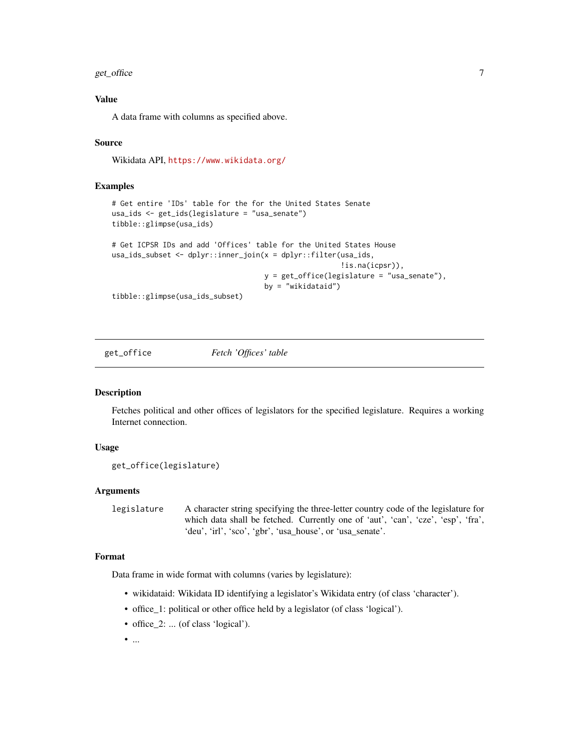<span id="page-6-0"></span>get\_office 7

## Value

A data frame with columns as specified above.

## Source

Wikidata API, <https://www.wikidata.org/>

## Examples

```
# Get entire 'IDs' table for the for the United States Senate
usa_ids <- get_ids(legislature = "usa_senate")
tibble::glimpse(usa_ids)
# Get ICPSR IDs and add 'Offices' table for the United States House
usa_ids_subset <- dplyr::inner_join(x = dplyr::filter(usa_ids,
                                                      !is.na(icpsr)),
                                    y = get_office(legislature = "usa_senate"),
                                    by = "wikidataid")
```
tibble::glimpse(usa\_ids\_subset)

<span id="page-6-1"></span>get\_office *Fetch 'Offices' table*

#### Description

Fetches political and other offices of legislators for the specified legislature. Requires a working Internet connection.

## Usage

```
get_office(legislature)
```
## Arguments

```
legislature A character string specifying the three-letter country code of the legislature for
                   which data shall be fetched. Currently one of 'aut', 'can', 'cze', 'esp', 'fra',
                   'deu', 'irl', 'sco', 'gbr', 'usa_house', or 'usa_senate'.
```
## Format

Data frame in wide format with columns (varies by legislature):

- wikidataid: Wikidata ID identifying a legislator's Wikidata entry (of class 'character').
- office\_1: political or other office held by a legislator (of class 'logical').
- office\_2: ... (of class 'logical').
- $\bullet$  ...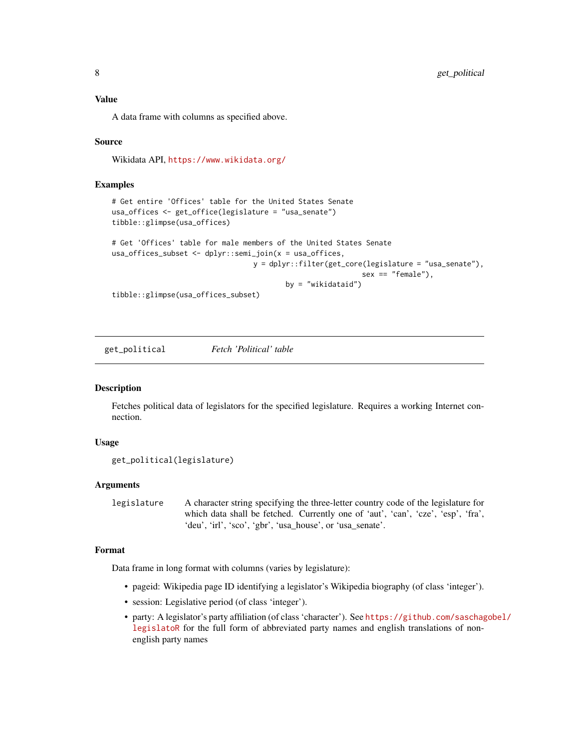## <span id="page-7-0"></span>Value

A data frame with columns as specified above.

## Source

Wikidata API, <https://www.wikidata.org/>

## Examples

```
# Get entire 'Offices' table for the United States Senate
usa_offices <- get_office(legislature = "usa_senate")
tibble::glimpse(usa_offices)
# Get 'Offices' table for male members of the United States Senate
usa_offices_subset <- dplyr::semi_join(x = usa_offices,
                                 y = dplyr::filter(get_core(legislature = "usa_senate"),
                                                           sex == "female"),
                                         by = "wikidataid")
tibble::glimpse(usa_offices_subset)
```
<span id="page-7-1"></span>get\_political *Fetch 'Political' table*

## Description

Fetches political data of legislators for the specified legislature. Requires a working Internet connection.

#### Usage

```
get_political(legislature)
```
## Arguments

legislature A character string specifying the three-letter country code of the legislature for which data shall be fetched. Currently one of 'aut', 'can', 'cze', 'esp', 'fra', 'deu', 'irl', 'sco', 'gbr', 'usa\_house', or 'usa\_senate'.

#### Format

Data frame in long format with columns (varies by legislature):

- pageid: Wikipedia page ID identifying a legislator's Wikipedia biography (of class 'integer').
- session: Legislative period (of class 'integer').
- party: A legislator's party affiliation (of class 'character'). See [https://github.com/saschag](https://github.com/saschagobel/legislatoR)obel/ [legislatoR](https://github.com/saschagobel/legislatoR) for the full form of abbreviated party names and english translations of nonenglish party names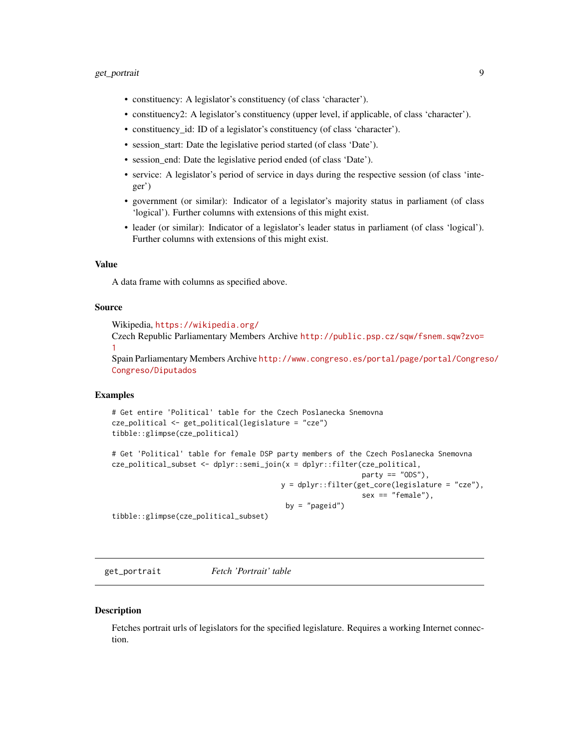## <span id="page-8-0"></span>get\_portrait 9

- constituency: A legislator's constituency (of class 'character').
- constituency2: A legislator's constituency (upper level, if applicable, of class 'character').
- constituency\_id: ID of a legislator's constituency (of class 'character').
- session\_start: Date the legislative period started (of class 'Date').
- session\_end: Date the legislative period ended (of class 'Date').
- service: A legislator's period of service in days during the respective session (of class 'integer')
- government (or similar): Indicator of a legislator's majority status in parliament (of class 'logical'). Further columns with extensions of this might exist.
- leader (or similar): Indicator of a legislator's leader status in parliament (of class 'logical'). Further columns with extensions of this might exist.

#### Value

A data frame with columns as specified above.

## Source

Wikipedia, <https://wikipedia.org/>

Czech Republic Parliamentary Members Archive [http://public.psp.cz/sqw/fsnem.sqw?zvo=](http://public.psp.cz/sqw/fsnem.sqw?zvo=1) [1](http://public.psp.cz/sqw/fsnem.sqw?zvo=1)

Spain Parliamentary Members Archive [http://www.congreso.es/portal/page/portal/Congres](http://www.congreso.es/portal/page/portal/Congreso/Congreso/Diputados)o/ [Congreso/Diputados](http://www.congreso.es/portal/page/portal/Congreso/Congreso/Diputados)

#### Examples

```
# Get entire 'Political' table for the Czech Poslanecka Snemovna
cze_political <- get_political(legislature = "cze")
tibble::glimpse(cze_political)
```

```
# Get 'Political' table for female DSP party members of the Czech Poslanecka Snemovna
cze_political_subset <- dplyr::semi_join(x = dplyr::filter(cze_political,
                                                           party == "ODS"),
                                        y = dplyr::filter(get_core(legislature = "cze"),
                                                           sex == "female"),
                                         by = "pageid")
tibble::glimpse(cze_political_subset)
```
<span id="page-8-1"></span>get\_portrait *Fetch 'Portrait' table*

#### **Description**

Fetches portrait urls of legislators for the specified legislature. Requires a working Internet connection.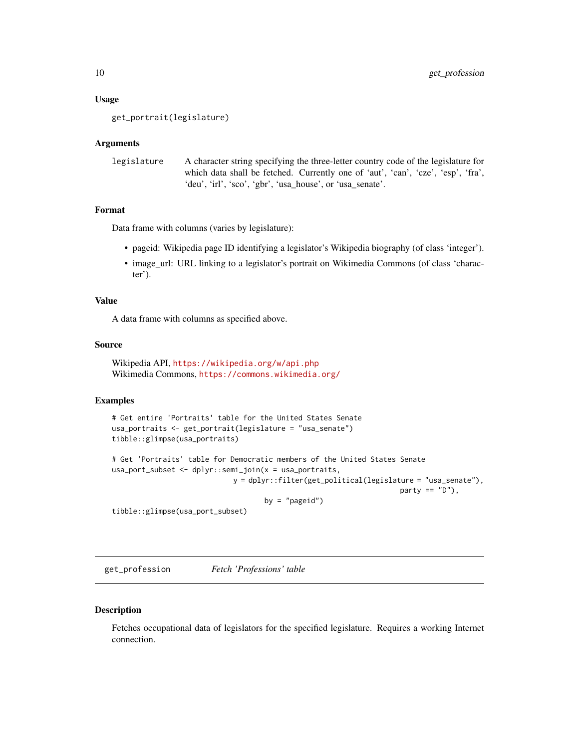#### <span id="page-9-0"></span>Usage

get\_portrait(legislature)

#### Arguments

```
legislature A character string specifying the three-letter country code of the legislature for
                   which data shall be fetched. Currently one of 'aut', 'can', 'cze', 'esp', 'fra',
                   'deu', 'irl', 'sco', 'gbr', 'usa_house', or 'usa_senate'.
```
## Format

Data frame with columns (varies by legislature):

- pageid: Wikipedia page ID identifying a legislator's Wikipedia biography (of class 'integer').
- image\_url: URL linking to a legislator's portrait on Wikimedia Commons (of class 'character').

#### Value

A data frame with columns as specified above.

#### Source

```
Wikipedia API, https://wikipedia.org/w/api.php
Wikimedia Commons, https://commons.wikimedia.org/
```
## Examples

```
# Get entire 'Portraits' table for the United States Senate
usa_portraits <- get_portrait(legislature = "usa_senate")
tibble::glimpse(usa_portraits)
# Get 'Portraits' table for Democratic members of the United States Senate
usa_port_subset <- dplyr::semi_join(x = usa_portraits,
                            y = dplyr::filter(get_political(legislature = "usa_senate"),
                                                                    party == "D"),
                                    by = "pageid")
tibble::glimpse(usa_port_subset)
```
<span id="page-9-1"></span>get\_profession *Fetch 'Professions' table*

#### Description

Fetches occupational data of legislators for the specified legislature. Requires a working Internet connection.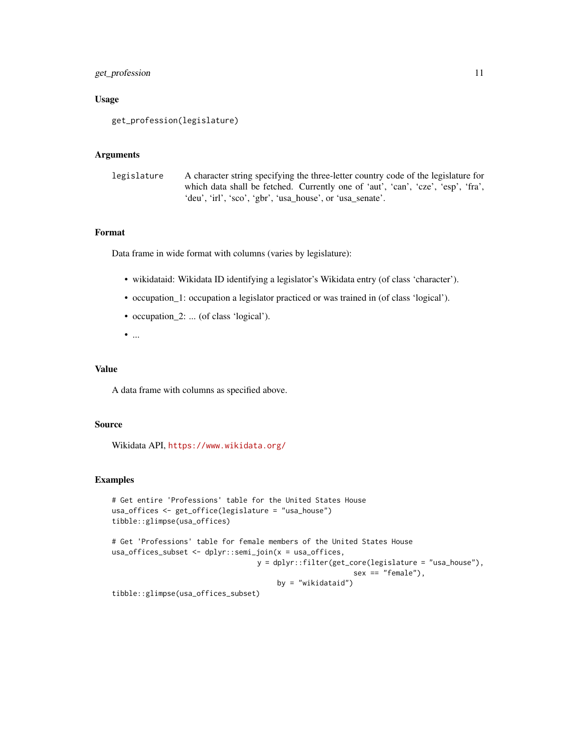## get\_profession 11

## Usage

```
get_profession(legislature)
```
#### Arguments

```
legislature A character string specifying the three-letter country code of the legislature for
                   which data shall be fetched. Currently one of 'aut', 'can', 'cze', 'esp', 'fra',
                   'deu', 'irl', 'sco', 'gbr', 'usa_house', or 'usa_senate'.
```
## Format

Data frame in wide format with columns (varies by legislature):

- wikidataid: Wikidata ID identifying a legislator's Wikidata entry (of class 'character').
- occupation\_1: occupation a legislator practiced or was trained in (of class 'logical').
- occupation\_2: ... (of class 'logical').
- $\bullet$  ...

## Value

A data frame with columns as specified above.

## Source

Wikidata API, <https://www.wikidata.org/>

#### Examples

```
# Get entire 'Professions' table for the United States House
usa_offices <- get_office(legislature = "usa_house")
tibble::glimpse(usa_offices)
# Get 'Professions' table for female members of the United States House
usa_offices_subset <- dplyr::semi_join(x = usa_offices,
                                  y = dplyr::filter(get_core(legislature = "usa_house"),
                                                         sex == "female"),by = "wikidataid")
```
tibble::glimpse(usa\_offices\_subset)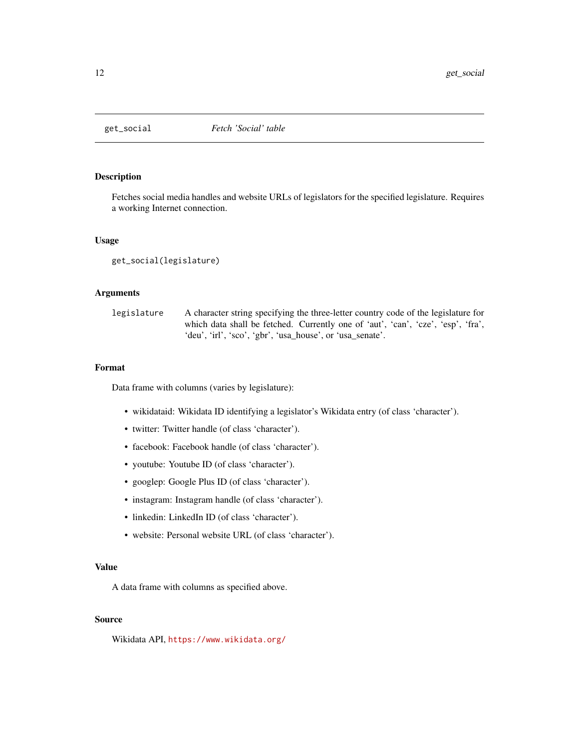<span id="page-11-1"></span><span id="page-11-0"></span>

## Description

Fetches social media handles and website URLs of legislators for the specified legislature. Requires a working Internet connection.

#### Usage

get\_social(legislature)

## Arguments

| legislature | A character string specifying the three-letter country code of the legislature for |
|-------------|------------------------------------------------------------------------------------|
|             | which data shall be fetched. Currently one of 'aut', 'can', 'cze', 'esp', 'fra',   |
|             | 'deu', 'irl', 'sco', 'gbr', 'usa_house', or 'usa_senate'.                          |

## Format

Data frame with columns (varies by legislature):

- wikidataid: Wikidata ID identifying a legislator's Wikidata entry (of class 'character').
- twitter: Twitter handle (of class 'character').
- facebook: Facebook handle (of class 'character').
- youtube: Youtube ID (of class 'character').
- googlep: Google Plus ID (of class 'character').
- instagram: Instagram handle (of class 'character').
- linkedin: LinkedIn ID (of class 'character').
- website: Personal website URL (of class 'character').

## Value

A data frame with columns as specified above.

## Source

Wikidata API, <https://www.wikidata.org/>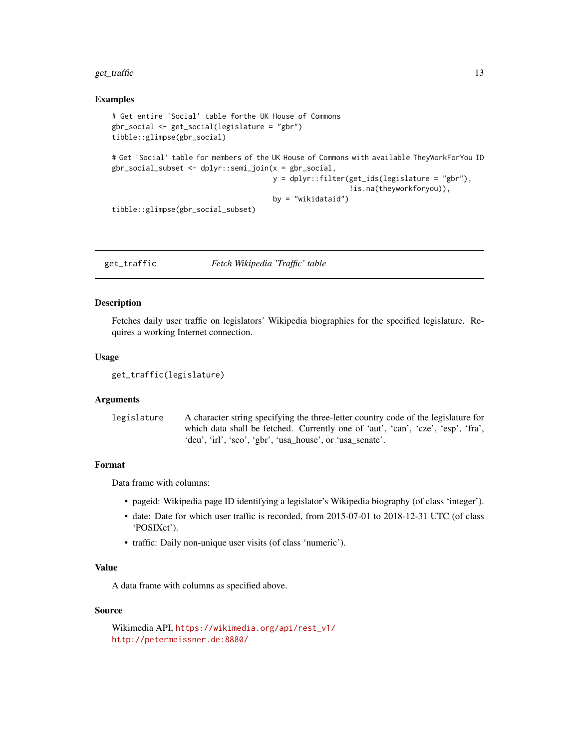#### <span id="page-12-0"></span>get\_traffic 13

#### Examples

```
# Get entire 'Social' table forthe UK House of Commons
gbr_social <- get_social(legislature = "gbr")
tibble::glimpse(gbr_social)
# Get 'Social' table for members of the UK House of Commons with available TheyWorkForYou ID
gbr_social_subset <- dplyr::semi_join(x = gbr_social,
                                      y = dplyr::filter(get_ids(legislature = "gbr"),
                                                         !is.na(theyworkforyou)),
                                      by = "wikidataid")
tibble::glimpse(gbr_social_subset)
```
<span id="page-12-1"></span>get\_traffic *Fetch Wikipedia 'Traffic' table*

#### Description

Fetches daily user traffic on legislators' Wikipedia biographies for the specified legislature. Requires a working Internet connection.

#### Usage

get\_traffic(legislature)

#### Arguments

| legislature | A character string specifying the three-letter country code of the legislature for |
|-------------|------------------------------------------------------------------------------------|
|             | which data shall be fetched. Currently one of 'aut', 'can', 'cze', 'esp', 'fra',   |
|             | 'deu', 'irl', 'sco', 'gbr', 'usa_house', or 'usa_senate'.                          |

## Format

Data frame with columns:

- pageid: Wikipedia page ID identifying a legislator's Wikipedia biography (of class 'integer').
- date: Date for which user traffic is recorded, from 2015-07-01 to 2018-12-31 UTC (of class 'POSIXct').
- traffic: Daily non-unique user visits (of class 'numeric').

## Value

A data frame with columns as specified above.

#### Source

```
Wikimedia API, https://wikimedia.org/api/rest_v1/
http://petermeissner.de:8880/
```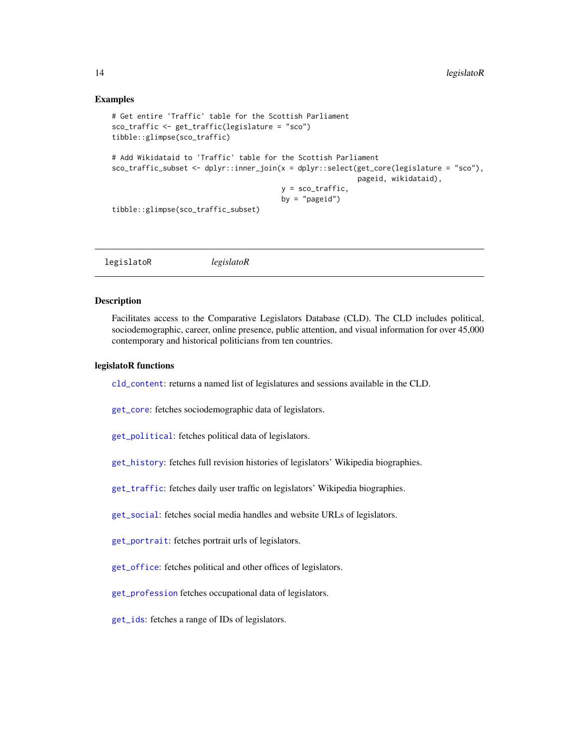#### Examples

```
# Get entire 'Traffic' table for the Scottish Parliament
sco_traffic <- get_traffic(legislature = "sco")
tibble::glimpse(sco_traffic)
# Add Wikidataid to 'Traffic' table for the Scottish Parliament
sco_traffic_subset <- dplyr::inner_join(x = dplyr::select(get_core(legislature = "sco"),
                                                          pageid, wikidataid),
                                        y = sco_traffic,
                                        by = "pageid")
tibble::glimpse(sco_traffic_subset)
```
legislatoR *legislatoR*

#### Description

Facilitates access to the Comparative Legislators Database (CLD). The CLD includes political, sociodemographic, career, online presence, public attention, and visual information for over 45,000 contemporary and historical politicians from ten countries.

#### legislatoR functions

[cld\\_content](#page-1-1): returns a named list of legislatures and sessions available in the CLD.

[get\\_core](#page-2-1): fetches sociodemographic data of legislators.

[get\\_political](#page-7-1): fetches political data of legislators.

[get\\_history](#page-3-1): fetches full revision histories of legislators' Wikipedia biographies.

[get\\_traffic](#page-12-1): fetches daily user traffic on legislators' Wikipedia biographies.

[get\\_social](#page-11-1): fetches social media handles and website URLs of legislators.

[get\\_portrait](#page-8-1): fetches portrait urls of legislators.

[get\\_office](#page-6-1): fetches political and other offices of legislators.

[get\\_profession](#page-9-1) fetches occupational data of legislators.

[get\\_ids](#page-4-1): fetches a range of IDs of legislators.

<span id="page-13-0"></span>